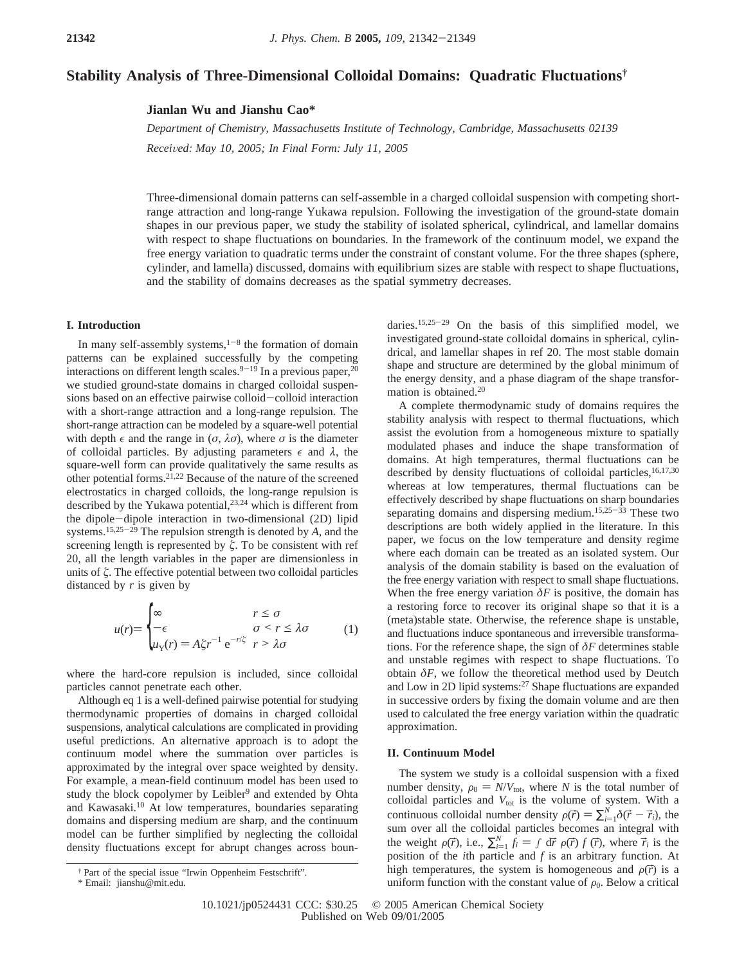# **Stability Analysis of Three-Dimensional Colloidal Domains: Quadratic Fluctuations†**

**Jianlan Wu and Jianshu Cao\***

*Department of Chemistry, Massachusetts Institute of Technology, Cambridge, Massachusetts 02139 Received: May 10, 2005; In Final Form: July 11, 2005* 

Three-dimensional domain patterns can self-assemble in a charged colloidal suspension with competing shortrange attraction and long-range Yukawa repulsion. Following the investigation of the ground-state domain shapes in our previous paper, we study the stability of isolated spherical, cylindrical, and lamellar domains with respect to shape fluctuations on boundaries. In the framework of the continuum model, we expand the free energy variation to quadratic terms under the constraint of constant volume. For the three shapes (sphere, cylinder, and lamella) discussed, domains with equilibrium sizes are stable with respect to shape fluctuations, and the stability of domains decreases as the spatial symmetry decreases.

## **I. Introduction**

In many self-assembly systems, $1-8$  the formation of domain patterns can be explained successfully by the competing interactions on different length scales.  $9-19$  In a previous paper,  $20$ we studied ground-state domains in charged colloidal suspensions based on an effective pairwise colloid-colloid interaction with a short-range attraction and a long-range repulsion. The short-range attraction can be modeled by a square-well potential with depth  $\epsilon$  and the range in  $(\sigma, \lambda \sigma)$ , where  $\sigma$  is the diameter of colloidal particles. By adjusting parameters  $\epsilon$  and  $\lambda$ , the square-well form can provide qualitatively the same results as other potential forms.21,22 Because of the nature of the screened electrostatics in charged colloids, the long-range repulsion is described by the Yukawa potential,<sup>23,24</sup> which is different from the dipole-dipole interaction in two-dimensional (2D) lipid systems.15,25-<sup>29</sup> The repulsion strength is denoted by *A*, and the screening length is represented by  $\zeta$ . To be consistent with ref 20, all the length variables in the paper are dimensionless in units of *ú*. The effective potential between two colloidal particles distanced by *r* is given by

$$
u(r) = \begin{cases} \n\infty & r \leq \sigma \\ \n-\epsilon & \sigma < r \leq \lambda \sigma \\ \nu_Y(r) = A \zeta r^{-1} e^{-r/\zeta} & r > \lambda \sigma \n\end{cases} \tag{1}
$$

where the hard-core repulsion is included, since colloidal particles cannot penetrate each other.

Although eq 1 is a well-defined pairwise potential for studying thermodynamic properties of domains in charged colloidal suspensions, analytical calculations are complicated in providing useful predictions. An alternative approach is to adopt the continuum model where the summation over particles is approximated by the integral over space weighted by density. For example, a mean-field continuum model has been used to study the block copolymer by Leibler<sup>9</sup> and extended by Ohta and Kawasaki.<sup>10</sup> At low temperatures, boundaries separating domains and dispersing medium are sharp, and the continuum model can be further simplified by neglecting the colloidal density fluctuations except for abrupt changes across boun-

\* Email: jianshu@mit.edu.

daries.15,25-<sup>29</sup> On the basis of this simplified model, we investigated ground-state colloidal domains in spherical, cylindrical, and lamellar shapes in ref 20. The most stable domain shape and structure are determined by the global minimum of the energy density, and a phase diagram of the shape transformation is obtained.20

A complete thermodynamic study of domains requires the stability analysis with respect to thermal fluctuations, which assist the evolution from a homogeneous mixture to spatially modulated phases and induce the shape transformation of domains. At high temperatures, thermal fluctuations can be described by density fluctuations of colloidal particles,  $16,17,30$ whereas at low temperatures, thermal fluctuations can be effectively described by shape fluctuations on sharp boundaries separating domains and dispersing medium.<sup>15,25-33</sup> These two descriptions are both widely applied in the literature. In this paper, we focus on the low temperature and density regime where each domain can be treated as an isolated system. Our analysis of the domain stability is based on the evaluation of the free energy variation with respect to small shape fluctuations. When the free energy variation  $\delta F$  is positive, the domain has a restoring force to recover its original shape so that it is a (meta)stable state. Otherwise, the reference shape is unstable, and fluctuations induce spontaneous and irreversible transformations. For the reference shape, the sign of *δF* determines stable and unstable regimes with respect to shape fluctuations. To obtain  $\delta F$ , we follow the theoretical method used by Deutch and Low in 2D lipid systems:27 Shape fluctuations are expanded in successive orders by fixing the domain volume and are then used to calculated the free energy variation within the quadratic approximation.

## **II. Continuum Model**

The system we study is a colloidal suspension with a fixed number density,  $\rho_0 = N/V_{\text{tot}}$ , where *N* is the total number of colloidal particles and  $V_{\text{tot}}$  is the volume of system. With a continuous colloidal number density  $\rho(\vec{r}) = \sum_{i=1}^{N} \delta(\vec{r} - \vec{r}_i)$ , the sum over all the colloidal narticles becomes an integral with sum over all the colloidal particles becomes an integral with the weight  $\rho(\vec{r})$ , i.e.,  $\sum_{i=1}^{N} f_i = \int d\vec{r} \, \rho(\vec{r}) f(\vec{r})$ , where  $\vec{r}_i$  is the position of the *i*th particle and *f* is an arbitrary function. At position of the *i*th particle and *f* is an arbitrary function. At high temperatures, the system is homogeneous and  $\rho(\vec{r})$  is a uniform function with the constant value of  $\rho_0$ . Below a critical

<sup>†</sup> Part of the special issue "Irwin Oppenheim Festschrift".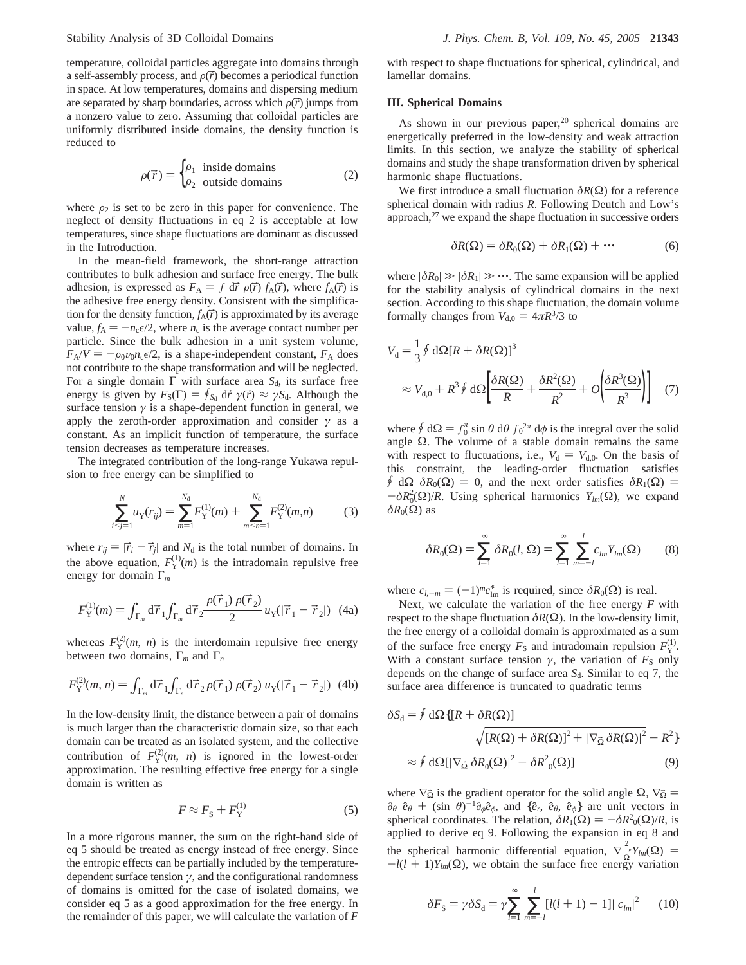temperature, colloidal particles aggregate into domains through a self-assembly process, and  $\rho(\vec{r})$  becomes a periodical function in space. At low temperatures, domains and dispersing medium are separated by sharp boundaries, across which  $\rho(\vec{r})$  jumps from a nonzero value to zero. Assuming that colloidal particles are uniformly distributed inside domains, the density function is reduced to

$$
\rho(\vec{r}) = \begin{cases} \rho_1 & \text{inside domains} \\ \rho_2 & \text{outside domains} \end{cases}
$$
 (2)

where  $\rho_2$  is set to be zero in this paper for convenience. The neglect of density fluctuations in eq 2 is acceptable at low temperatures, since shape fluctuations are dominant as discussed in the Introduction.

In the mean-field framework, the short-range attraction contributes to bulk adhesion and surface free energy. The bulk adhesion, is expressed as  $F_A = \int d\vec{r} \rho(\vec{r}) f_A(\vec{r})$ , where  $f_A(\vec{r})$  is the adhesive free energy density. Consistent with the simplification for the density function,  $f_A(\vec{r})$  is approximated by its average value,  $f_A = -n_c \epsilon/2$ , where  $n_c$  is the average contact number per particle. Since the bulk adhesion in a unit system volume,  $F_A/V = -\rho_0 v_0 n_c \epsilon/2$ , is a shape-independent constant,  $F_A$  does not contribute to the shape transformation and will be neglected. For a single domain Γ with surface area S<sub>d</sub>, its surface free energy is given by  $F_S(\Gamma) = \oint_{S_d} d\vec{r} \gamma(\vec{r}) \approx \gamma S_d$ . Although the surface tension  $\gamma$  is a shape-dependent function in general, we apply the zeroth-order approximation and consider *γ* as a constant. As an implicit function of temperature, the surface tension decreases as temperature increases.

The integrated contribution of the long-range Yukawa repulsion to free energy can be simplified to

$$
\sum_{i < j = 1}^{N} u_{\mathbf{Y}}(r_{ij}) = \sum_{m=1}^{N_{\mathbf{d}}} F_{\mathbf{Y}}^{(1)}(m) + \sum_{m < n = 1}^{N_{\mathbf{d}}} F_{\mathbf{Y}}^{(2)}(m, n) \tag{3}
$$

where  $r_{ij} = |\vec{r}_i - \vec{r}_j|$  and  $N_d$  is the total number of domains. In the above equation,  $F_Y^{(1)}(m)$  is the intradomain repulsive free energy for domain Γ*<sup>m</sup>*

$$
F_{\rm Y}^{(1)}(m) = \int_{\Gamma_m} d\vec{r}_1 \int_{\Gamma_m} d\vec{r}_2 \frac{\rho(\vec{r}_1) \, \rho(\vec{r}_2)}{2} u_{\rm Y}(|\vec{r}_1 - \vec{r}_2|) \tag{4a}
$$

whereas  $F_Y^{(2)}(m, n)$  is the interdomain repulsive free energy between two domains, Γ*<sup>m</sup>* and Γ*<sup>n</sup>*

$$
F_{\rm Y}^{(2)}(m,n) = \int_{\Gamma_m} d\vec{r}_1 \int_{\Gamma_n} d\vec{r}_2 \,\rho(\vec{r}_1) \,\rho(\vec{r}_2) \,u_{\rm Y}(|\vec{r}_1 - \vec{r}_2|) \tag{4b}
$$

In the low-density limit, the distance between a pair of domains is much larger than the characteristic domain size, so that each domain can be treated as an isolated system, and the collective contribution of  $F_Y^{(2)}(m, n)$  is ignored in the lowest-order approximation. The resulting effective free energy for a single domain is written as

$$
F \approx F_{\rm S} + F_{\rm Y}^{(1)} \tag{5}
$$

In a more rigorous manner, the sum on the right-hand side of eq 5 should be treated as energy instead of free energy. Since the entropic effects can be partially included by the temperaturedependent surface tension *γ*, and the configurational randomness of domains is omitted for the case of isolated domains, we consider eq 5 as a good approximation for the free energy. In the remainder of this paper, we will calculate the variation of *F*

with respect to shape fluctuations for spherical, cylindrical, and lamellar domains.

### **III. Spherical Domains**

As shown in our previous paper,<sup>20</sup> spherical domains are energetically preferred in the low-density and weak attraction limits. In this section, we analyze the stability of spherical domains and study the shape transformation driven by spherical harmonic shape fluctuations.

We first introduce a small fluctuation  $\delta R(\Omega)$  for a reference spherical domain with radius *R*. Following Deutch and Low's approach, $27$  we expand the shape fluctuation in successive orders

$$
\delta R(\Omega) = \delta R_0(\Omega) + \delta R_1(\Omega) + \cdots \tag{6}
$$

where  $|\delta R_0| \gg |\delta R_1| \gg \cdots$ . The same expansion will be applied for the stability analysis of cylindrical domains in the next section. According to this shape fluctuation, the domain volume formally changes from  $V_{d,0} = 4\pi R^3/3$  to

$$
V_{\rm d} = \frac{1}{3} \oint d\Omega [R + \delta R(\Omega)]^3
$$
  
\n
$$
\approx V_{\rm d,0} + R^3 \oint d\Omega \left[ \frac{\delta R(\Omega)}{R} + \frac{\delta R^2(\Omega)}{R^2} + O\left(\frac{\delta R^3(\Omega)}{R^3}\right) \right] \quad (7)
$$

where  $\oint d\Omega = \int_0^{\pi} \sin \theta \, d\theta \int_0^{2\pi} d\phi$  is the integral over the solid angle  $\Omega$ . The volume of a stable domain remains the same angle  $\Omega$ . The volume of a stable domain remains the same with respect to fluctuations, i.e.,  $V_d = V_{d,0}$ . On the basis of this constraint, the leading-order fluctuation satisfies  $\oint d\Omega \ \delta R_0(\Omega) = 0$ , and the next order satisfies  $\delta R_1(\Omega) =$  $-\delta R_0^2(\Omega)/R$ . Using spherical harmonics  $Y_{lm}(\Omega)$ , we expand  $\delta R_0(\Omega)$  as  $\delta R_0$ **(Ω)** as

$$
\delta R_0(\Omega) = \sum_{l=1}^{\infty} \delta R_0(l, \Omega) = \sum_{l=1}^{\infty} \sum_{m=-l}^{l} c_{lm} Y_{lm}(\Omega) \qquad (8)
$$

where  $c_{l,-m} = (-1)^m c_{lm}^*$  is required, since  $\delta R_0(\Omega)$  is real.<br>Next, we calculate the variation of the free energy *F*.

Next, we calculate the variation of the free energy *F* with respect to the shape fluctuation  $\delta R(\Omega)$ . In the low-density limit, the free energy of a colloidal domain is approximated as a sum of the surface free energy  $F_S$  and intradomain repulsion  $F_Y^{(1)}$ . With a constant surface tension  $\gamma$ , the variation of  $F_S$  only depends on the change of surface area  $S_d$ . Similar to eq 7, the surface area difference is truncated to quadratic terms

$$
\delta S_{\rm d} = \oint d\Omega \{ [R + \delta R(\Omega)]
$$
  

$$
\sqrt{[R(\Omega) + \delta R(\Omega)]^2 + |\nabla_{\Omega} \delta R(\Omega)|^2} - R^2 \}
$$
  

$$
\approx \oint d\Omega [|\nabla_{\Omega} \delta R_0(\Omega)|^2 - \delta R^2_{\rm 0}(\Omega)]
$$
 (9)

where  $\nabla_{\Omega}$  is the gradient operator for the solid angle  $\Omega$ ,  $\nabla_{\Omega} =$  $\partial_{\theta}$   $\hat{e}_{\theta}$  + (sin  $\theta$ )<sup>-1</sup> $\partial_{\phi}$  $\hat{e}_{\phi}$ , and { $\hat{e}_{r}$ ,  $\hat{e}_{\theta}$ ,  $\hat{e}_{\phi}$ } are unit vectors in spherical coordinates. The relation,  $\delta R_1(\Omega) = -\delta R^2_0(\Omega)/R$ , is<br>annlied to derive eq. 9. Following the expansion in eq. 8 and applied to derive eq 9. Following the expansion in eq 8 and the spherical harmonic differential equation,  $\nabla \frac{2}{\Omega} Y_{lm}(\Omega) = -(l + 1)Y_{l}(\Omega)$  we obtain the surface free energy variation  $-l(l + 1)Y_{lm}(\Omega)$ , we obtain the surface free energy variation

$$
\delta F_{\rm S} = \gamma \delta S_{\rm d} = \gamma \sum_{l=1}^{\infty} \sum_{m=-l}^{l} [l(l+1) - 1] |c_{lm}|^2 \qquad (10)
$$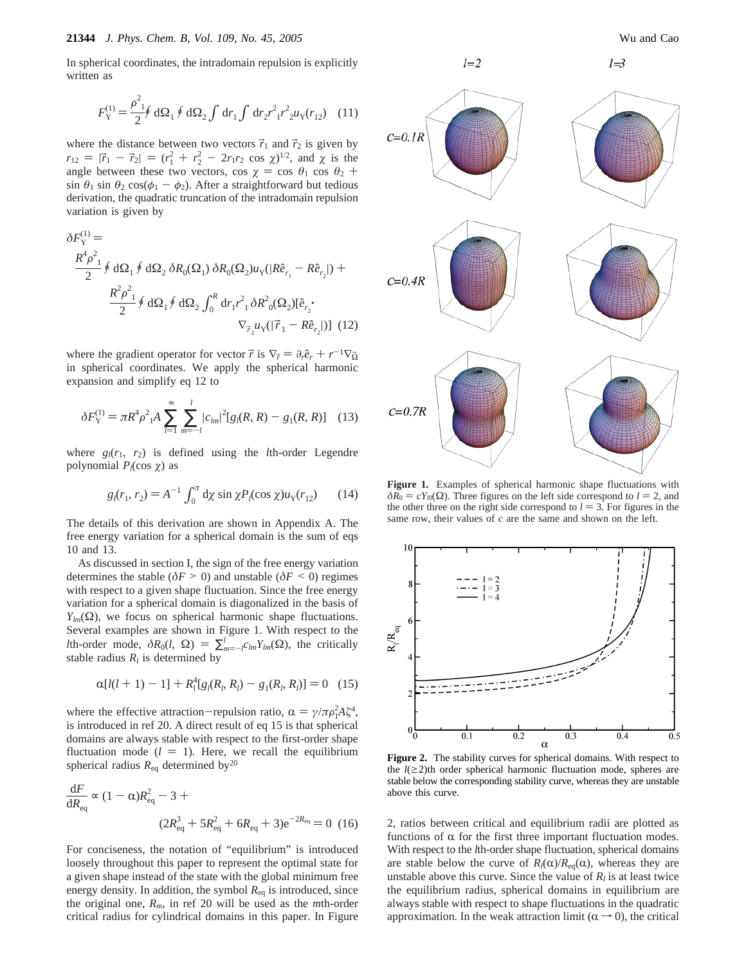In spherical coordinates, the intradomain repulsion is explicitly written as

$$
F_{\rm Y}^{(1)} = \frac{\rho_{1}^2}{2} \oint \, \mathrm{d}\Omega_1 \oint \, \mathrm{d}\Omega_2 \int \, \mathrm{d}r_1 \int \, \mathrm{d}r_2 r_{1}^2 r_{2}^2 u_{\rm Y}(r_{12}) \tag{11}
$$

where the distance between two vectors  $\vec{r}_1$  and  $\vec{r}_2$  is given by  $r_{12} = |\vec{r}_1 - \vec{r}_2| = (r_1^2 + r_2^2 - 2r_1r_2 \cos \chi)^{1/2}$ , and  $\chi$  is the angle between these two vectors  $\cos \chi = \cos \theta$ ,  $\cos \theta_2 + \cos \theta_1$ angle between these two vectors, cos  $\chi = \cos \theta_1 \cos \theta_2 + \sin \theta_2 \sin \theta_3 \cos(\phi_1 - \phi_2)$ . After a straightforward but tedious sin  $\theta_1$  sin  $\theta_2$  cos( $\phi_1 - \phi_2$ ). After a straightforward but tedious derivation, the quadratic truncation of the intradomain repulsion variation is given by

$$
\delta F_Y^{(1)} =
$$
\n
$$
\frac{R^4 \rho_{1}^2}{2} \oint d\Omega_1 \oint d\Omega_2 \,\delta R_0(\Omega_1) \,\delta R_0(\Omega_2) u_Y(|R\hat{e}_{r_1} - R\hat{e}_{r_2}|) +
$$
\n
$$
\frac{R^2 \rho_{1}^2}{2} \oint d\Omega_1 \oint d\Omega_2 \int_0^R dr_1 r_{1}^2 \,\delta R^2_{0}(\Omega_2) [\hat{e}_{r_2} \cdot \nabla_{\vec{r}_2} u_Y(|\vec{r}_1 - R\hat{e}_{r_2}|)] \tag{12}
$$

where the gradient operator for vector  $\vec{r}$  is  $\nabla_{\vec{r}} = \partial_r \hat{e}_r + r^{-1} \nabla_{\vec{\Omega}}$ in spherical coordinates. We apply the spherical harmonic expansion and simplify eq 12 to

$$
\delta F_Y^{(1)} = \pi R^4 \rho^2 {}_{1}A \sum_{l=1}^{\infty} \sum_{m=-l}^{l} |c_{lm}|^2 [g_l(R, R) - g_1(R, R)] \quad (13)
$$

where  $g_l(r_1, r_2)$  is defined using the *l*th-order Legendre polynomial  $P_l(\cos \gamma)$  as

$$
g_l(r_1, r_2) = A^{-1} \int_0^{\pi} d\chi \sin \chi P_l(\cos \chi) u_Y(r_{12}) \qquad (14)
$$

The details of this derivation are shown in Appendix A. The free energy variation for a spherical domain is the sum of eqs 10 and 13.

As discussed in section I, the sign of the free energy variation determines the stable ( $\delta F > 0$ ) and unstable ( $\delta F < 0$ ) regimes with respect to a given shape fluctuation. Since the free energy variation for a spherical domain is diagonalized in the basis of  $Y_{lm}(\Omega)$ , we focus on spherical harmonic shape fluctuations. Several examples are shown in Figure 1. With respect to the *l*th-order mode,  $\delta R_0(l, \Omega) = \sum_{m=-l}^{l} c_{lm} Y_{lm}(\Omega)$ , the critically stable radius  $R_l$  is determined by stable radius  $R_l$  is determined by

$$
\alpha[l(l+1)-1] + R_1^4[g_l(R_l, R_l) - g_1(R_l, R_l)] = 0 \quad (15)
$$

where the effective attraction-repulsion ratio,  $\alpha = \gamma / \pi \rho_1^2 A \zeta^4$ ,<br>is introduced in ref 20. A direct result of eq. 15 is that spherical is introduced in ref 20. A direct result of eq 15 is that spherical domains are always stable with respect to the first-order shape fluctuation mode  $(l = 1)$ . Here, we recall the equilibrium spherical radius  $R_{eq}$  determined by<sup>20</sup>

$$
\frac{dF}{dR_{\text{eq}}} \propto (1 - \alpha)R_{\text{eq}}^2 - 3 +
$$
\n
$$
(2R_{\text{eq}}^3 + 5R_{\text{eq}}^2 + 6R_{\text{eq}} + 3)e^{-2R_{\text{eq}}} = 0 \tag{16}
$$

For conciseness, the notation of "equilibrium" is introduced loosely throughout this paper to represent the optimal state for a given shape instead of the state with the global minimum free energy density. In addition, the symbol  $R_{eq}$  is introduced, since the original one, *Rm*, in ref 20 will be used as the *m*th-order critical radius for cylindrical domains in this paper. In Figure



**Figure 1.** Examples of spherical harmonic shape fluctuations with  $\delta R_0 = cY_{l0}(\Omega)$ . Three figures on the left side correspond to *l* = 2, and the other three on the right side correspond to  $l = 3$ . For figures in the same row, their values of *c* are the same and shown on the left.



**Figure 2.** The stability curves for spherical domains. With respect to the  $l(\geq 2)$ th order spherical harmonic fluctuation mode, spheres are stable below the corresponding stability curve, whereas they are unstable above this curve.

2, ratios between critical and equilibrium radii are plotted as functions of  $\alpha$  for the first three important fluctuation modes. With respect to the *l*th-order shape fluctuation, spherical domains are stable below the curve of  $R_l(\alpha)/R_{eq}(\alpha)$ , whereas they are unstable above this curve. Since the value of  $R_l$  is at least twice the equilibrium radius, spherical domains in equilibrium are always stable with respect to shape fluctuations in the quadratic approximation. In the weak attraction limit ( $\alpha \rightarrow 0$ ), the critical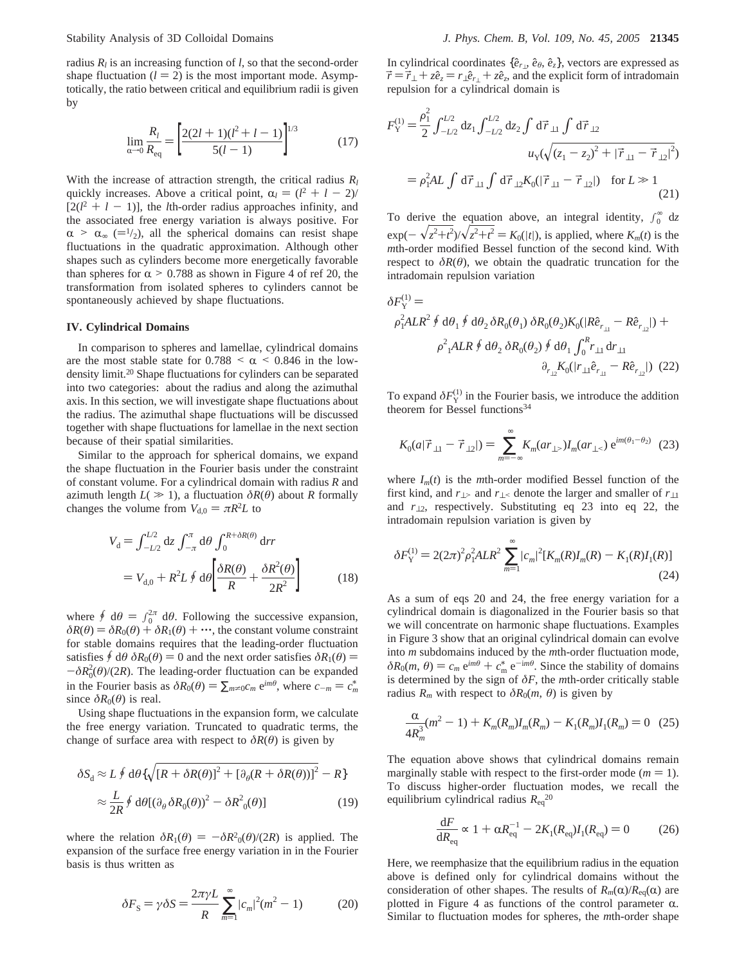radius  $R_l$  is an increasing function of  $l$ , so that the second-order shape fluctuation  $(l = 2)$  is the most important mode. Asymptotically, the ratio between critical and equilibrium radii is given by

$$
\lim_{\alpha \to 0} \frac{R_l}{R_{\text{eq}}} = \left[ \frac{2(2l+1)(l^2+l-1)}{5(l-1)} \right]^{1/3} \tag{17}
$$

With the increase of attraction strength, the critical radius  $R_l$ quickly increases. Above a critical point,  $\alpha_l = (l^2 + l - 2)$ /<br> $l^2(l^2 + l - 1)$  the *l*th-order radius approaches infinity and  $[2(l^2 + l - 1)]$ , the *l*th-order radius approaches infinity, and the associated free energy variation is always positive. For the associated free energy variation is always positive. For  $\alpha > \alpha_{\infty}$  (=1/2), all the spherical domains can resist shape fluctuations in the quadratic approximation. Although other shapes such as cylinders become more energetically favorable than spheres for  $\alpha > 0.788$  as shown in Figure 4 of ref 20, the transformation from isolated spheres to cylinders cannot be spontaneously achieved by shape fluctuations.

#### **IV. Cylindrical Domains**

In comparison to spheres and lamellae, cylindrical domains are the most stable state for  $0.788 < \alpha < 0.846$  in the lowdensity limit.20 Shape fluctuations for cylinders can be separated into two categories: about the radius and along the azimuthal axis. In this section, we will investigate shape fluctuations about the radius. The azimuthal shape fluctuations will be discussed together with shape fluctuations for lamellae in the next section because of their spatial similarities.

Similar to the approach for spherical domains, we expand the shape fluctuation in the Fourier basis under the constraint of constant volume. For a cylindrical domain with radius *R* and azimuth length  $L(\gg 1)$ , a fluctuation  $\delta R(\theta)$  about *R* formally changes the volume from  $V_{d,0} = \pi R^2 L$  to

$$
V_{\rm d} = \int_{-L/2}^{L/2} dz \int_{-\pi}^{\pi} d\theta \int_{0}^{R+\delta R(\theta)} dr
$$

$$
= V_{\rm d,0} + R^2 L \oint d\theta \left[ \frac{\delta R(\theta)}{R} + \frac{\delta R^2(\theta)}{2R^2} \right] \tag{18}
$$

where  $\oint d\theta = \int_0^{2\pi} d\theta$ . Following the successive expansion,<br> $\delta R(\theta) = \delta R_0(\theta) + \delta R_1(\theta) + \cdots$  the constant volume constraint  $\delta R(\theta) = \delta R_0(\theta) + \delta R_1(\theta) + \cdots$ , the constant volume constraint for stable domains requires that the leading-order fluctuation satisfies  $\oint d\theta \, \delta R_0(\theta) = 0$  and the next order satisfies  $\delta R_1(\theta) =$  $-\delta R_0^2(\theta)/(2R)$ . The leading-order fluctuation can be expanded<br>in the Fourier basis as  $\delta R_2(\theta) = \sum_{n=1}^{\infty} c_n e^{-\theta n t \theta}$  where  $c_n = c^*$ in the Fourier basis as  $\delta R_0(\theta) = \sum_{m \neq 0} c_m e^{im\theta}$ , where  $c_{-m} = c_m^*$ since  $\delta R_0(\theta)$  is real.

Using shape fluctuations in the expansion form, we calculate the free energy variation. Truncated to quadratic terms, the change of surface area with respect to  $\delta R(\theta)$  is given by

$$
\delta S_d \approx L \oint d\theta \{ \sqrt{[R + \delta R(\theta)]^2 + [\partial_\theta (R + \delta R(\theta))]^2} - R \}
$$
  

$$
\approx \frac{L}{2R} \oint d\theta [(\partial_\theta \delta R_0(\theta))^2 - \delta R^2(\theta)]
$$
 (19)

where the relation  $\delta R_1(\theta) = -\delta R^2(0/\theta)/2R$  is applied. The expansion of the surface free energy variation in in the Fourier expansion of the surface free energy variation in in the Fourier basis is thus written as

$$
\delta F_{\rm S} = \gamma \delta S = \frac{2\pi \gamma L}{R} \sum_{m=1}^{\infty} |c_m|^2 (m^2 - 1) \tag{20}
$$

In cylindrical coordinates  $\{\hat{e}_r, \hat{e}_\theta, \hat{e}_z\}$ , vectors are expressed as  $\vec{r} = \vec{r}_{\perp} + z\hat{e}_z = r_{\perp}\hat{e}_{r\perp} + z\hat{e}_z$ , and the explicit form of intradomain repulsion for a cylindrical domain is

$$
F_{Y}^{(1)} = \frac{\rho_{1}^{2}}{2} \int_{-L/2}^{L/2} dz_{1} \int_{-L/2}^{L/2} dz_{2} \int d\vec{r}_{\perp 1} \int d\vec{r}_{\perp 2}
$$
  

$$
u_{Y}(\sqrt{(z_{1} - z_{2})^{2} + |\vec{r}_{\perp 1} - \vec{r}_{\perp 2}|^{2}})
$$

$$
= \rho_{1}^{2}AL \int d\vec{r}_{\perp 1} \int d\vec{r}_{\perp 2} K_{0}(|\vec{r}_{\perp 1} - \vec{r}_{\perp 2}|) \text{ for } L \gg 1
$$
(21)

To derive the equation above, an integral identity,  $\int_0^\infty dz$  $\exp(-\sqrt{z^2+t^2})/\sqrt{z^2+t^2} = K_0(|t|)$ , is applied, where  $K_m(t)$  is the *m*th-order modified Bessel function of the second kind. With *m*th-order modified Bessel function of the second kind. With respect to  $\delta R(\theta)$ , we obtain the quadratic truncation for the intradomain repulsion variation

$$
\delta F_Y^{(1)} =
$$
\n
$$
\rho_1^2 ALR^2 \oint d\theta_1 \oint d\theta_2 \delta R_0(\theta_1) \delta R_0(\theta_2) K_0(|R\hat{e}_{r_{\perp 1}} - R\hat{e}_{r_{\perp 2}}|) +
$$
\n
$$
\rho_1^2 ALR \oint d\theta_2 \delta R_0(\theta_2) \oint d\theta_1 \int_0^R r_{\perp 1} dr_{\perp 1}
$$
\n
$$
\frac{\partial_{r_{\perp 2}} K_0(|r_{\perp 1}\hat{e}_{r_{\perp 1}} - R\hat{e}_{r_{\perp 2}}|)}{(22)}
$$

To expand  $\delta F_Y^{(1)}$  in the Fourier basis, we introduce the addition theorem for Bessel functions $34$ 

$$
K_0(a|\vec{r}_{\perp 1} - \vec{r}_{\perp 2}|) = \sum_{m=-\infty}^{\infty} K_m(ar_{\perp >}) I_m(ar_{\perp <}) e^{im(\theta_1 - \theta_2)} \tag{23}
$$

where  $I_m(t)$  is the *m*th-order modified Bessel function of the first kind, and  $r_{\perp}$  and  $r_{\perp}$  denote the larger and smaller of  $r_{\perp 1}$ and *r*⊥2, respectively. Substituting eq 23 into eq 22, the intradomain repulsion variation is given by

$$
\delta F_Y^{(1)} = 2(2\pi)^2 \rho_1^2 ALR^2 \sum_{m=1}^{\infty} |c_m|^2 [K_m(R)I_m(R) - K_1(R)I_1(R)]
$$
\n(24)

As a sum of eqs 20 and 24, the free energy variation for a cylindrical domain is diagonalized in the Fourier basis so that we will concentrate on harmonic shape fluctuations. Examples in Figure 3 show that an original cylindrical domain can evolve into *m* subdomains induced by the *m*th-order fluctuation mode,  $\delta R_0(m, \theta) = c_m e^{im\theta} + c_m^* e^{-im\theta}$ . Since the stability of domains is determined by the sign of  $\delta F$  the *m*th-order critically stable is determined by the sign of  $\delta F$ , the *m*th-order critically stable radius  $R_m$  with respect to  $\delta R_0(m, \theta)$  is given by

$$
\frac{\alpha}{4R_m^3}(m^2 - 1) + K_m(R_m)I_m(R_m) - K_1(R_m)I_1(R_m) = 0 \quad (25)
$$

The equation above shows that cylindrical domains remain marginally stable with respect to the first-order mode  $(m = 1)$ . To discuss higher-order fluctuation modes, we recall the equilibrium cylindrical radius  $R_{eq}^{20}$ 

$$
\frac{dF}{dR_{\text{eq}}} \propto 1 + \alpha R_{\text{eq}}^{-1} - 2K_1(R_{\text{eq}})I_1(R_{\text{eq}}) = 0 \tag{26}
$$

Here, we reemphasize that the equilibrium radius in the equation above is defined only for cylindrical domains without the consideration of other shapes. The results of  $R_m(\alpha)/R_{\text{eq}}(\alpha)$  are plotted in Figure 4 as functions of the control parameter  $\alpha$ . Similar to fluctuation modes for spheres, the *m*th-order shape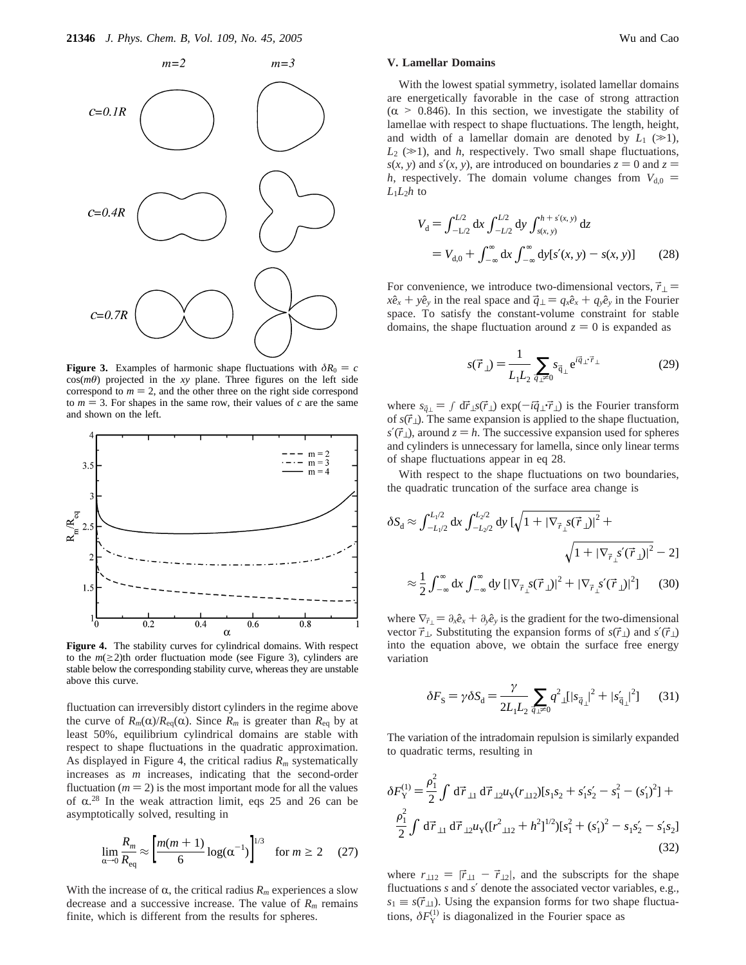

**Figure 3.** Examples of harmonic shape fluctuations with  $\delta R_0 = c$  $cos(m\theta)$  projected in the *xy* plane. Three figures on the left side correspond to  $m = 2$ , and the other three on the right side correspond to  $m = 3$ . For shapes in the same row, their values of *c* are the same and shown on the left.



**Figure 4.** The stability curves for cylindrical domains. With respect to the  $m(\geq 2)$ th order fluctuation mode (see Figure 3), cylinders are stable below the corresponding stability curve, whereas they are unstable above this curve.

fluctuation can irreversibly distort cylinders in the regime above the curve of  $R_m(\alpha)/R_{eq}(\alpha)$ . Since  $R_m$  is greater than  $R_{eq}$  by at least 50%, equilibrium cylindrical domains are stable with respect to shape fluctuations in the quadratic approximation. As displayed in Figure 4, the critical radius *Rm* systematically increases as *m* increases, indicating that the second-order fluctuation ( $m = 2$ ) is the most important mode for all the values of  $\alpha$ <sup>28</sup>. In the weak attraction limit, eqs 25 and 26 can be asymptotically solved resulting in asymptotically solved, resulting in

$$
\lim_{\alpha \to 0} \frac{R_m}{R_{\text{eq}}} \approx \left[ \frac{m(m+1)}{6} \log(\alpha^{-1}) \right]^{1/3} \quad \text{for } m \ge 2 \quad (27)
$$

With the increase of  $\alpha$ , the critical radius  $R_m$  experiences a slow decrease and a successive increase. The value of  $R<sub>m</sub>$  remains finite, which is different from the results for spheres.

### **V. Lamellar Domains**

With the lowest spatial symmetry, isolated lamellar domains are energetically favorable in the case of strong attraction  $(\alpha > 0.846)$ . In this section, we investigate the stability of lamellae with respect to shape fluctuations. The length, height, and width of a lamellar domain are denoted by  $L_1 \approx 1$ ,  $L_2$  ( $\gg$ 1), and *h*, respectively. Two small shape fluctuations,  $s(x, y)$  and  $s'(x, y)$ , are introduced on boundaries  $z = 0$  and  $z = 0$ *h*, respectively. The domain volume changes from  $V_{d,0}$  =  $L_1L_2h$  to

$$
V_{\rm d} = \int_{-L/2}^{L/2} dx \int_{-L/2}^{L/2} dy \int_{s(x,\,y)}^{h+s'(x,\,y)} dz
$$
  
=  $V_{\rm d,0} + \int_{-\infty}^{\infty} dx \int_{-\infty}^{\infty} dy [s'(x,\,y) - s(x,\,y)]$  (28)

For convenience, we introduce two-dimensional vectors,  $\vec{r}_{\perp}$  =  $x\hat{e}_x + y\hat{e}_y$  in the real space and  $\vec{q}_\perp = q_x\hat{e}_x + q_y\hat{e}_y$  in the Fourier space. To satisfy the constant-volume constraint for stable domains, the shape fluctuation around  $z = 0$  is expanded as

$$
s(\vec{r}_{\perp}) = \frac{1}{L_1 L_2} \sum_{\vec{q}_{\perp} \neq 0} s_{\vec{q}_{\perp}} e^{i\vec{q}_{\perp} \cdot \vec{r}_{\perp}}
$$
 (29)

where  $s_{\vec{q}\perp} = \int d\vec{r}\, \perp s(\vec{r}\perp) \exp(-i\vec{q}\perp \vec{r}\perp)$  is the Fourier transform of  $s(\vec{r}_\perp)$ . The same expansion is applied to the shape fluctuation,  $s'(\vec{r}_\perp)$ , around  $z = h$ . The successive expansion used for spheres and cylinders is unnecessary for lamella, since only linear terms of shape fluctuations appear in eq 28.

With respect to the shape fluctuations on two boundaries, the quadratic truncation of the surface area change is

$$
\delta S_{\rm d} \approx \int_{-L_1/2}^{L_1/2} \mathrm{d}x \int_{-L_2/2}^{L_2/2} \mathrm{d}y \left[ \sqrt{1 + |\nabla_{\vec{r}_{\perp}} s(\vec{r}_{\perp})|^2} + \sqrt{1 + |\nabla_{\vec{r}_{\perp}} s'(\vec{r}_{\perp})|^2} - 2 \right]
$$
  

$$
\approx \frac{1}{2} \int_{-\infty}^{\infty} \mathrm{d}x \int_{-\infty}^{\infty} \mathrm{d}y \left[ |\nabla_{\vec{r}_{\perp}} s(\vec{r}_{\perp})|^2 + |\nabla_{\vec{r}_{\perp}} s'(\vec{r}_{\perp})|^2 \right] \tag{30}
$$

where  $\nabla_{\vec{r}} = \partial_x \hat{e}_x + \partial_y \hat{e}_y$  is the gradient for the two-dimensional vector  $\vec{r}_\perp$ . Substituting the expansion forms of *s*( $\vec{r}_\perp$ ) and *s*'( $\vec{r}_\perp$ ) into the equation above, we obtain the surface free energy variation

$$
\delta F_{\rm S} = \gamma \delta S_{\rm d} = \frac{\gamma}{2L_{\rm l}L_{\rm 2}} \sum_{\vec{q}_{\perp} \neq 0} q^2_{\perp} [|s_{\vec{q}_{\perp}}|^2 + |s'_{\vec{q}_{\perp}}|^2] \tag{31}
$$

The variation of the intradomain repulsion is similarly expanded to quadratic terms, resulting in

$$
\delta F_Y^{(1)} = \frac{\rho_1^2}{2} \int d\vec{r}_{\perp 1} d\vec{r}_{\perp 2} u_Y(r_{\perp 12}) [s_1 s_2 + s_1' s_2' - s_1^2 - (s_1')^2] +
$$
  

$$
\frac{\rho_1^2}{2} \int d\vec{r}_{\perp 1} d\vec{r}_{\perp 2} u_Y ([r_{\perp 12}^2 + h^2]^{1/2}) [s_1^2 + (s_1')^2 - s_1 s_2' - s_1' s_2]
$$
  
(32)

where  $r_{\perp 12} = |\vec{r}_{\perp 1} - \vec{r}_{\perp 2}|$ , and the subscripts for the shape fluctuations *s* and *s*′ denote the associated vector variables, e.g.,  $s_1 \equiv s(\vec{r}_{\perp 1})$ . Using the expansion forms for two shape fluctuations,  $\delta F_Y^{(1)}$  is diagonalized in the Fourier space as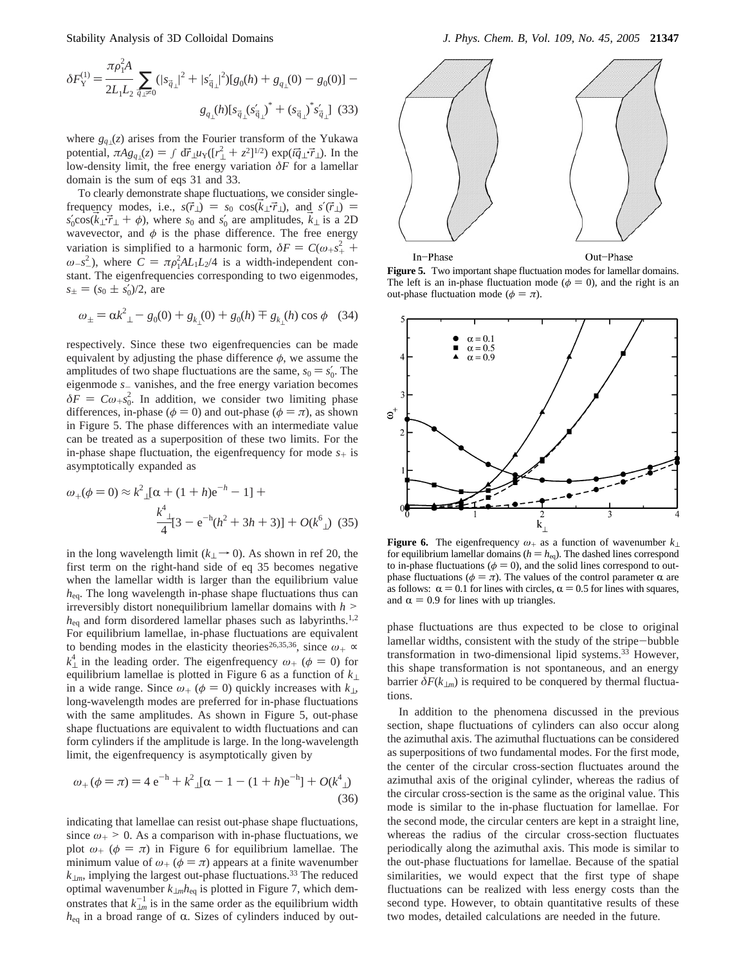$$
\delta F_{\mathbf{Y}}^{(1)} = \frac{\pi \rho_{\mathbf{I}}^2 A}{2L_{\mathbf{I}} L_2} \sum_{\vec{q}_{\perp} \neq 0} (|s_{\vec{q}_{\perp}}|^2 + |s_{\vec{q}_{\perp}}'|^2) [g_0(h) + g_{q_{\perp}}(0) - g_0(0)] - g_{\perp}(\rho_{\vec{q}_{\perp}}) \delta_{\vec{q}_{\perp}}(s_{\vec{q}_{\perp}}')^* + (s_{\vec{q}_{\perp}}) \delta_{\vec{q}_{\perp}}(s_{\vec{q}_{\perp}}')^*]
$$
(33)

where *gq*⊥(*z*) arises from the Fourier transform of the Yukawa potential,  $\pi A g_{q\perp}(z) = \int d\vec{r}_{\perp} u_Y([r_{\perp}^2 + z^2]^{1/2}) \exp(i\vec{q}_{\perp} \cdot \vec{r}_{\perp})$ . In the low-density limit, the free energy variation  $\delta F$  for a lamellar low-density limit, the free energy variation *δF* for a lamellar domain is the sum of eqs 31 and 33.

To clearly demonstrate shape fluctuations, we consider singlefrequency modes, i.e.,  $s(\vec{r}_\perp) = s_0 \cos(\vec{k}_\perp \cdot \vec{r}_\perp)$ , and  $s'(\vec{r}_\perp) =$  $s'_0 \cos(k_\perp \vec{r}_\perp + \phi)$ , where  $s_0$  and  $s'_0$  are amplitudes,  $k_\perp$  is a 2D<br>wavevector and  $\phi$  is the phase difference. The free energy wavevector, and  $\phi$  is the phase difference. The free energy variation is simplified to a harmonic form,  $\delta F = C(\omega + s^2)$ , where  $C = \pi s^2ALL/d$  is a width independent  $\omega$  $\omega_{-s}^{2}$ , where  $C = \pi \rho_1^2 A L_1 L_2 / 4$  is a width-independent con-<br>stant. The eigenfrequencies corresponding to two eigenmodes stant. The eigenfrequencies corresponding to two eigenmodes,  $s_{\pm} = (s_0 \pm s'_0)/2$ , are

$$
\omega_{\pm} = \alpha k_{\perp}^2 - g_0(0) + g_{k_{\perp}}(0) + g_0(h) \mp g_{k_{\perp}}(h) \cos \phi \quad (34)
$$

respectively. Since these two eigenfrequencies can be made equivalent by adjusting the phase difference  $\phi$ , we assume the amplitudes of two shape fluctuations are the same,  $s_0 = s'_0$ . The ejerenmode *s* vanishes and the free energy variation becomes eigenmode *<sup>s</sup>*- vanishes, and the free energy variation becomes  $\delta F = C\omega_{+} s_0^2$ . In addition, we consider two limiting phase  $\delta$  is shown differences, in-phase ( $\phi = 0$ ) and out-phase ( $\phi = \pi$ ), as shown in Figure 5. The phase differences with an intermediate value can be treated as a superposition of these two limits. For the in-phase shape fluctuation, the eigenfrequency for mode  $s_{+}$  is asymptotically expanded as

$$
\omega_{+}(\phi=0) \approx k^{2} \ln \left( \frac{1+h}{e^{-h} - 1} \right) +
$$
  

$$
\frac{k^{4} \ln \left[3 - e^{-h}(h^{2} + 3h + 3)\right] + O(k^{6} \ln \left(35\right))}
$$

in the long wavelength limit ( $k_{\perp} \rightarrow 0$ ). As shown in ref 20, the first term on the right-hand side of eq 35 becomes negative when the lamellar width is larger than the equilibrium value *h*eq. The long wavelength in-phase shape fluctuations thus can irreversibly distort nonequilibrium lamellar domains with *<sup>h</sup>* > *h*eq and form disordered lamellar phases such as labyrinths.1,2 For equilibrium lamellae, in-phase fluctuations are equivalent to bending modes in the elasticity theories<sup>26,35,36</sup>, since  $\omega_+ \sim$  $k_{\perp}^{4}$  in the leading order. The eigenfrequency  $\omega_{+}$  ( $\phi = 0$ ) for equilibrium lamellae is plotted in Figure 6 as a function of  $k_{\perp}$ equilibrium lamellae is plotted in Figure 6 as a function of *k*<sup>⊥</sup> in a wide range. Since  $\omega_+(\phi = 0)$  quickly increases with  $k_\perp$ , long-wavelength modes are preferred for in-phase fluctuations with the same amplitudes. As shown in Figure 5, out-phase shape fluctuations are equivalent to width fluctuations and can form cylinders if the amplitude is large. In the long-wavelength limit, the eigenfrequency is asymptotically given by

$$
\omega_{+}(\phi = \pi) = 4 e^{-h} + k^{2}{}_{\perp}[\alpha - 1 - (1 + h)e^{-h}] + O(k^{4}{}_{\perp})
$$
\n(36)

indicating that lamellae can resist out-phase shape fluctuations, since  $\omega_+$  > 0. As a comparison with in-phase fluctuations, we plot  $\omega_+$  ( $\phi = \pi$ ) in Figure 6 for equilibrium lamellae. The minimum value of  $\omega_+(\phi = \pi)$  appears at a finite wavenumber  $k_{\perp m}$ , implying the largest out-phase fluctuations.<sup>33</sup> The reduced optimal wavenumber *k*⊥*mh*eq is plotted in Figure 7, which demonstrates that  $k_{\perp m}^{-1}$  is in the same order as the equilibrium width  $h_{eq}$  in a broad range of  $\alpha$ . Sizes of cylinders induced by out-



**Figure 5.** Two important shape fluctuation modes for lamellar domains. The left is an in-phase fluctuation mode ( $\phi = 0$ ), and the right is an out-phase fluctuation mode ( $\phi = \pi$ ).



**Figure 6.** The eigenfrequency *<sup>ω</sup>*+ as a function of wavenumber *<sup>k</sup>*<sup>⊥</sup> for equilibrium lamellar domains ( $h = h_{eq}$ ). The dashed lines correspond to in-phase fluctuations ( $\phi = 0$ ), and the solid lines correspond to outphase fluctuations ( $φ = π$ ). The values of the control parameter  $α$  are as follows:  $\alpha = 0.1$  for lines with circles,  $\alpha = 0.5$  for lines with squares, and  $\alpha = 0.9$  for lines with up triangles.

phase fluctuations are thus expected to be close to original lamellar widths, consistent with the study of the stripe-bubble transformation in two-dimensional lipid systems.33 However, this shape transformation is not spontaneous, and an energy barrier  $\delta F(k_{\perp m})$  is required to be conquered by thermal fluctuations.

In addition to the phenomena discussed in the previous section, shape fluctuations of cylinders can also occur along the azimuthal axis. The azimuthal fluctuations can be considered as superpositions of two fundamental modes. For the first mode, the center of the circular cross-section fluctuates around the azimuthal axis of the original cylinder, whereas the radius of the circular cross-section is the same as the original value. This mode is similar to the in-phase fluctuation for lamellae. For the second mode, the circular centers are kept in a straight line, whereas the radius of the circular cross-section fluctuates periodically along the azimuthal axis. This mode is similar to the out-phase fluctuations for lamellae. Because of the spatial similarities, we would expect that the first type of shape fluctuations can be realized with less energy costs than the second type. However, to obtain quantitative results of these two modes, detailed calculations are needed in the future.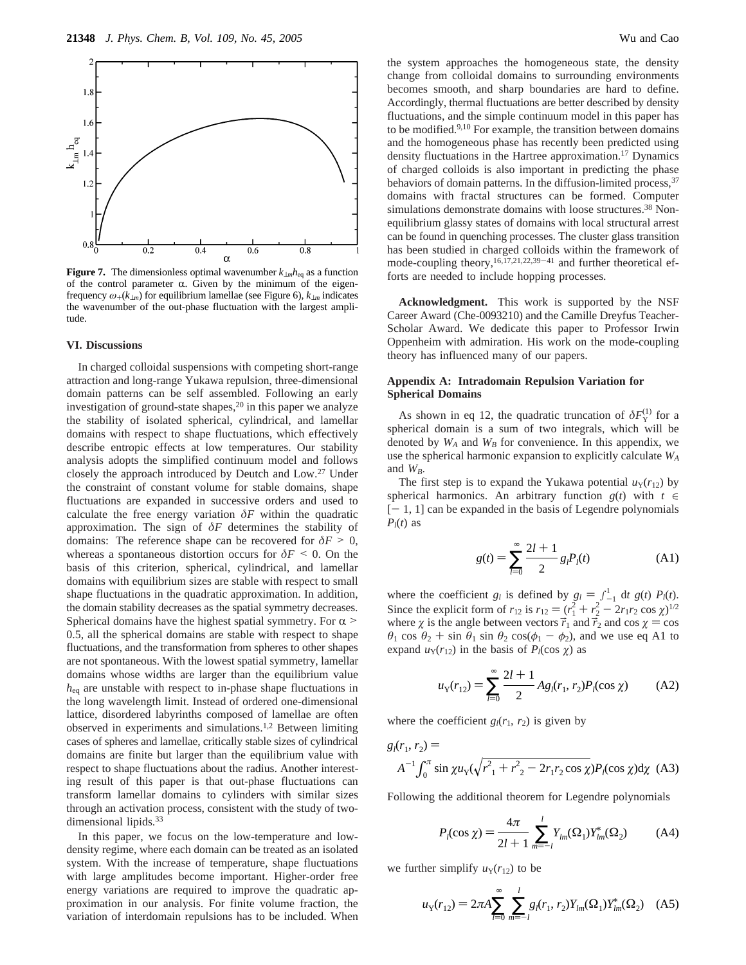

**Figure 7.** The dimensionless optimal wavenumber  $k_{\perp m}h_{\text{eq}}$  as a function of the control parameter  $\alpha$ . Given by the minimum of the eigenfrequency  $\omega_+(k_{\perp m})$  for equilibrium lamellae (see Figure 6),  $k_{\perp m}$  indicates the wavenumber of the out-phase fluctuation with the largest amplitude.

#### **VI. Discussions**

In charged colloidal suspensions with competing short-range attraction and long-range Yukawa repulsion, three-dimensional domain patterns can be self assembled. Following an early investigation of ground-state shapes, $20$  in this paper we analyze the stability of isolated spherical, cylindrical, and lamellar domains with respect to shape fluctuations, which effectively describe entropic effects at low temperatures. Our stability analysis adopts the simplified continuum model and follows closely the approach introduced by Deutch and Low.27 Under the constraint of constant volume for stable domains, shape fluctuations are expanded in successive orders and used to calculate the free energy variation  $\delta F$  within the quadratic approximation. The sign of *δF* determines the stability of domains: The reference shape can be recovered for  $\delta F > 0$ , whereas a spontaneous distortion occurs for  $\delta F \leq 0$ . On the basis of this criterion, spherical, cylindrical, and lamellar domains with equilibrium sizes are stable with respect to small shape fluctuations in the quadratic approximation. In addition, the domain stability decreases as the spatial symmetry decreases. Spherical domains have the highest spatial symmetry. For  $\alpha$  > 0.5, all the spherical domains are stable with respect to shape fluctuations, and the transformation from spheres to other shapes are not spontaneous. With the lowest spatial symmetry, lamellar domains whose widths are larger than the equilibrium value *h*eq are unstable with respect to in-phase shape fluctuations in the long wavelength limit. Instead of ordered one-dimensional lattice, disordered labyrinths composed of lamellae are often observed in experiments and simulations.1,2 Between limiting cases of spheres and lamellae, critically stable sizes of cylindrical domains are finite but larger than the equilibrium value with respect to shape fluctuations about the radius. Another interesting result of this paper is that out-phase fluctuations can transform lamellar domains to cylinders with similar sizes through an activation process, consistent with the study of twodimensional lipids.<sup>33</sup>

In this paper, we focus on the low-temperature and lowdensity regime, where each domain can be treated as an isolated system. With the increase of temperature, shape fluctuations with large amplitudes become important. Higher-order free energy variations are required to improve the quadratic approximation in our analysis. For finite volume fraction, the variation of interdomain repulsions has to be included. When

the system approaches the homogeneous state, the density change from colloidal domains to surrounding environments becomes smooth, and sharp boundaries are hard to define. Accordingly, thermal fluctuations are better described by density fluctuations, and the simple continuum model in this paper has to be modified.<sup>9,10</sup> For example, the transition between domains and the homogeneous phase has recently been predicted using density fluctuations in the Hartree approximation.17 Dynamics of charged colloids is also important in predicting the phase behaviors of domain patterns. In the diffusion-limited process,  $37$ domains with fractal structures can be formed. Computer simulations demonstrate domains with loose structures.<sup>38</sup> Nonequilibrium glassy states of domains with local structural arrest can be found in quenching processes. The cluster glass transition has been studied in charged colloids within the framework of mode-coupling theory,  $16,17,21,22,39-41$  and further theoretical efforts are needed to include hopping processes.

**Acknowledgment.** This work is supported by the NSF Career Award (Che-0093210) and the Camille Dreyfus Teacher-Scholar Award. We dedicate this paper to Professor Irwin Oppenheim with admiration. His work on the mode-coupling theory has influenced many of our papers.

## **Appendix A: Intradomain Repulsion Variation for Spherical Domains**

As shown in eq 12, the quadratic truncation of  $\delta F_Y^{(1)}$  for a spherical domain is a sum of two integrals, which will be denoted by  $W_A$  and  $W_B$  for convenience. In this appendix, we use the spherical harmonic expansion to explicitly calculate *WA* and *WB*.

The first step is to expand the Yukawa potential  $u_Y(r_{12})$  by spherical harmonics. An arbitrary function  $g(t)$  with  $t \in$  $[- 1, 1]$  can be expanded in the basis of Legendre polynomials  $P_l(t)$  as

$$
g(t) = \sum_{l=0}^{\infty} \frac{2l+1}{2} g_l P_l(t)
$$
 (A1)

where the coefficient *g<sub>l</sub>* is defined by  $g_l = \int_{-1}^{1} dt g(t) P_l(t)$ .<br>Since the explicit form of  $r_{l2}$  is  $r_{l3} = (r^2 + r^2 - 2r_{l3}r_{l3} \cos \omega)^{1/2}$ Since the explicit form of  $r_{12}$  is  $r_{12} = (r_1^2 + r_2^2 - 2r_1r_2 \cos \chi)^{1/2}$ <br>where  $\chi$  is the angle between vectors  $\vec{r}_1$  and  $\vec{r}_2$  and  $\cos \chi = \cos \chi$ where  $\chi$  is the angle between vectors  $\vec{r}_1$  and  $\vec{r}_2$  and cos  $\chi = \cos \chi$  $\theta_1$  cos  $\theta_2$  + sin  $\theta_1$  sin  $\theta_2$  cos( $\phi_1 - \phi_2$ ), and we use eq A1 to expand  $u_Y(r_{12})$  in the basis of  $P_l(\cos \chi)$  as

$$
u_{Y}(r_{12}) = \sum_{l=0}^{\infty} \frac{2l+1}{2} A g_{l}(r_{1}, r_{2}) P_{l}(\cos \chi)
$$
 (A2)

where the coefficient  $g_l(r_1, r_2)$  is given by

$$
g_l(r_1, r_2) =
$$
  

$$
A^{-1} \int_0^{\pi} \sin \chi u_Y (\sqrt{r_1^2 + r_2^2 - 2r_1 r_2 \cos \chi}) P_l(\cos \chi) d\chi
$$
 (A3)

Following the additional theorem for Legendre polynomials

$$
P_l(\cos \chi) = \frac{4\pi}{2l+1} \sum_{m=-l}^{l} Y_{lm}(\Omega_1) Y_{lm}^*(\Omega_2)
$$
 (A4)

we further simplify  $u_Y(r_{12})$  to be

$$
u_{Y}(r_{12}) = 2\pi A \sum_{l=0}^{\infty} \sum_{m=-l}^{l} g_{l}(r_{1}, r_{2}) Y_{lm}(\Omega_{1}) Y_{lm}^{*}(\Omega_{2})
$$
 (A5)